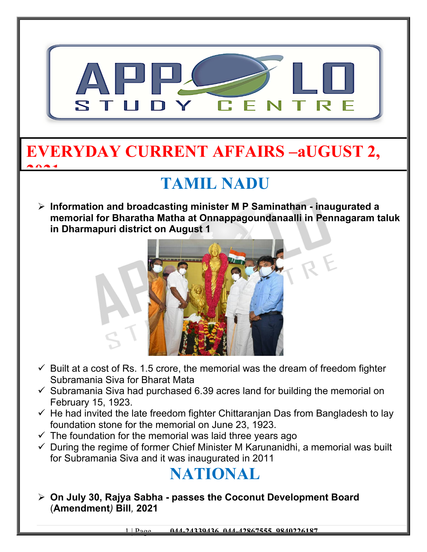

## **EVERYDAY CURRENT AFFAIRS –aUGUST 2, 2021**

# **TAMIL NADU**

 **Information and broadcasting minister M P Saminathan - inaugurated a memorial for Bharatha Matha at Onnappagoundanaalli in Pennagaram taluk in Dharmapuri district on August 1**



- $\checkmark$  Built at a cost of Rs. 1.5 crore, the memorial was the dream of freedom fighter Subramania Siva for Bharat Mata
- $\checkmark$  Subramania Siva had purchased 6.39 acres land for building the memorial on February 15, 1923.
- $\checkmark$  He had invited the late freedom fighter Chittaranjan Das from Bangladesh to lay foundation stone for the memorial on June 23, 1923.
- $\checkmark$  The foundation for the memorial was laid three years ago
- $\checkmark$  During the regime of former Chief Minister M Karunanidhi, a memorial was built for Subramania Siva and it was inaugurated in 2011

## **NATIONAL**

 **On July 30, Rajya Sabha - passes the Coconut Development Board** (**Amendment***)* **Bill***,* **2021** 

1 | Page **044-24339436, 044-42867555, 9840226187**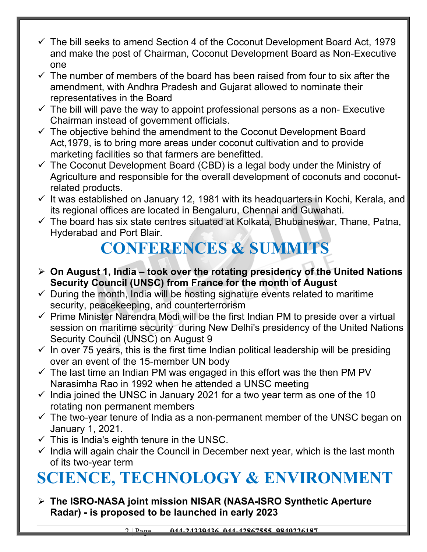- $\checkmark$  The bill seeks to amend Section 4 of the Coconut Development Board Act, 1979 and make the post of Chairman, Coconut Development Board as Non-Executive one
- $\checkmark$  The number of members of the board has been raised from four to six after the amendment, with Andhra Pradesh and Gujarat allowed to nominate their representatives in the Board
- $\checkmark$  The bill will pave the way to appoint professional persons as a non- Executive Chairman instead of government officials.
- $\checkmark$  The objective behind the amendment to the Coconut Development Board Act,1979, is to bring more areas under coconut cultivation and to provide marketing facilities so that farmers are benefitted.
- $\checkmark$  The Coconut Development Board (CBD) is a legal body under the Ministry of Agriculture and responsible for the overall development of coconuts and coconutrelated products.
- $\checkmark$  It was established on January 12, 1981 with its headquarters in Kochi, Kerala, and its regional offices are located in Bengaluru, Chennai and Guwahati.
- $\checkmark$  The board has six state centres situated at Kolkata, Bhubaneswar, Thane, Patna, Hyderabad and Port Blair.

## **CONFERENCES & SUMMITS**

- **On August 1, India took over the rotating presidency of the United Nations Security Council (UNSC) from France for the month of August**
- $\checkmark$  During the month, India will be hosting signature events related to maritime security, peacekeeping, and counterterrorism
- $\checkmark$  Prime Minister Narendra Modi will be the first Indian PM to preside over a virtual session on maritime security during New Delhi's presidency of the United Nations Security Council (UNSC) on August 9
- $\checkmark$  In over 75 years, this is the first time Indian political leadership will be presiding over an event of the 15-member UN body
- $\checkmark$  The last time an Indian PM was engaged in this effort was the then PM PV Narasimha Rao in 1992 when he attended a UNSC meeting
- $\checkmark$  India joined the UNSC in January 2021 for a two year term as one of the 10 rotating non permanent members
- $\checkmark$  The two-year tenure of India as a non-permanent member of the UNSC began on January 1, 2021.
- $\checkmark$  This is India's eighth tenure in the UNSC.
- $\checkmark$  India will again chair the Council in December next year, which is the last month of its two-year term

# **SCIENCE, TECHNOLOGY & ENVIRONMENT**

 **The ISRO-NASA joint mission NISAR (NASA-ISRO Synthetic Aperture Radar) - is proposed to be launched in early 2023**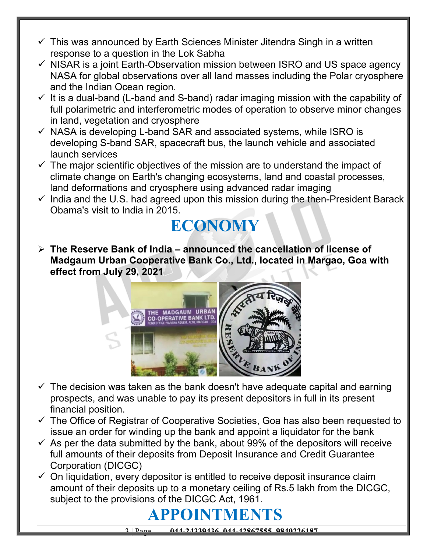- $\checkmark$  This was announced by Earth Sciences Minister Jitendra Singh in a written response to a question in the Lok Sabha
- $\checkmark$  NISAR is a joint Earth-Observation mission between ISRO and US space agency NASA for global observations over all land masses including the Polar cryosphere and the Indian Ocean region.
- $\checkmark$  It is a dual-band (L-band and S-band) radar imaging mission with the capability of full polarimetric and interferometric modes of operation to observe minor changes in land, vegetation and cryosphere
- $\checkmark$  NASA is developing L-band SAR and associated systems, while ISRO is developing S-band SAR, spacecraft bus, the launch vehicle and associated launch services
- $\checkmark$  The major scientific objectives of the mission are to understand the impact of climate change on Earth's changing ecosystems, land and coastal processes, land deformations and cryosphere using advanced radar imaging
- $\checkmark$  India and the U.S. had agreed upon this mission during the then-President Barack Obama's visit to India in 2015.

#### **ECONOMY**

 **The Reserve Bank of India – announced the cancellation of license of Madgaum Urban Cooperative Bank Co., Ltd., located in Margao, Goa with effect from July 29, 2021**



- $\checkmark$  The decision was taken as the bank doesn't have adequate capital and earning prospects, and was unable to pay its present depositors in full in its present financial position.
- $\checkmark$  The Office of Registrar of Cooperative Societies, Goa has also been requested to issue an order for winding up the bank and appoint a liquidator for the bank
- $\checkmark$  As per the data submitted by the bank, about 99% of the depositors will receive full amounts of their deposits from Deposit Insurance and Credit Guarantee Corporation (DICGC)
- $\checkmark$  On liquidation, every depositor is entitled to receive deposit insurance claim amount of their deposits up to a monetary ceiling of Rs.5 lakh from the DICGC, subject to the provisions of the DICGC Act, 1961.

#### **APPOINTMENTS**

3 | Page **044-24339436, 044-42867555, 9840226187**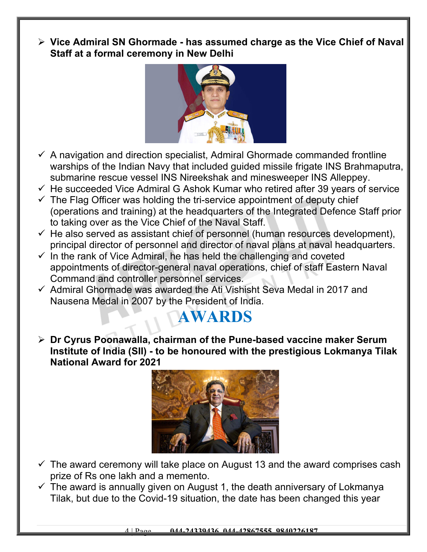**Vice Admiral SN Ghormade - has assumed charge as the Vice Chief of Naval Staff at a formal ceremony in New Delhi**



- $\checkmark$  A navigation and direction specialist, Admiral Ghormade commanded frontline warships of the Indian Navy that included guided missile frigate INS Brahmaputra, submarine rescue vessel INS Nireekshak and minesweeper INS Alleppey.
- $\checkmark$  He succeeded Vice Admiral G Ashok Kumar who retired after 39 years of service
- $\checkmark$  The Flag Officer was holding the tri-service appointment of deputy chief (operations and training) at the headquarters of the Integrated Defence Staff prior to taking over as the Vice Chief of the Naval Staff.
- $\checkmark$  He also served as assistant chief of personnel (human resources development), principal director of personnel and director of naval plans at naval headquarters.
- $\checkmark$  In the rank of Vice Admiral, he has held the challenging and coveted appointments of director-general naval operations, chief of staff Eastern Naval Command and controller personnel services.
- $\checkmark$  Admiral Ghormade was awarded the Ati Vishisht Seva Medal in 2017 and Nausena Medal in 2007 by the President of India.

## **AWARDS**

 **Dr Cyrus Poonawalla, chairman of the Pune-based vaccine maker Serum Institute of India (SII) - to be honoured with the prestigious Lokmanya Tilak National Award for 2021**



- $\checkmark$  The award ceremony will take place on August 13 and the award comprises cash prize of Rs one lakh and a memento.
- $\checkmark$  The award is annually given on August 1, the death anniversary of Lokmanya Tilak, but due to the Covid-19 situation, the date has been changed this year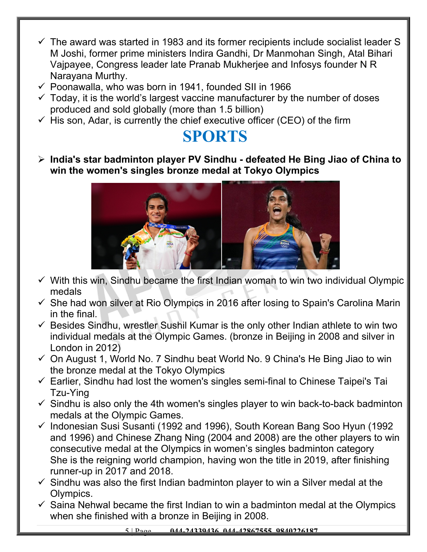- $\checkmark$  The award was started in 1983 and its former recipients include socialist leader S M Joshi, former prime ministers Indira Gandhi, Dr Manmohan Singh, Atal Bihari Vajpayee, Congress leader late Pranab Mukherjee and Infosys founder N R Narayana Murthy.
- $\checkmark$  Poonawalla, who was born in 1941, founded SII in 1966
- $\checkmark$  Today, it is the world's largest vaccine manufacturer by the number of doses produced and sold globally (more than 1.5 billion)
- $\checkmark$  His son, Adar, is currently the chief executive officer (CEO) of the firm

#### **SPORTS**

 **India's star badminton player PV Sindhu - defeated He Bing Jiao of China to win the women's singles bronze medal at Tokyo Olympics** 



- $\checkmark$  With this win, Sindhu became the first Indian woman to win two individual Olympic medals
- $\checkmark$  She had won silver at Rio Olympics in 2016 after losing to Spain's Carolina Marin in the final.
- $\checkmark$  Besides Sindhu, wrestler Sushil Kumar is the only other Indian athlete to win two individual medals at the Olympic Games. (bronze in Beijing in 2008 and silver in London in 2012)
- $\checkmark$  On August 1, World No. 7 Sindhu beat World No. 9 China's He Bing Jiao to win the bronze medal at the Tokyo Olympics
- $\checkmark$  Earlier, Sindhu had lost the women's singles semi-final to Chinese Taipei's Tai Tzu-Ying
- $\checkmark$  Sindhu is also only the 4th women's singles player to win back-to-back badminton medals at the Olympic Games.
- $\checkmark$  Indonesian Susi Susanti (1992 and 1996), South Korean Bang Soo Hyun (1992) and 1996) and Chinese Zhang Ning (2004 and 2008) are the other players to win consecutive medal at the Olympics in women's singles badminton category She is the reigning world champion, having won the title in 2019, after finishing runner-up in 2017 and 2018.
- $\checkmark$  Sindhu was also the first Indian badminton player to win a Silver medal at the Olympics.
- $\checkmark$  Saina Nehwal became the first Indian to win a badminton medal at the Olympics when she finished with a bronze in Beijing in 2008.